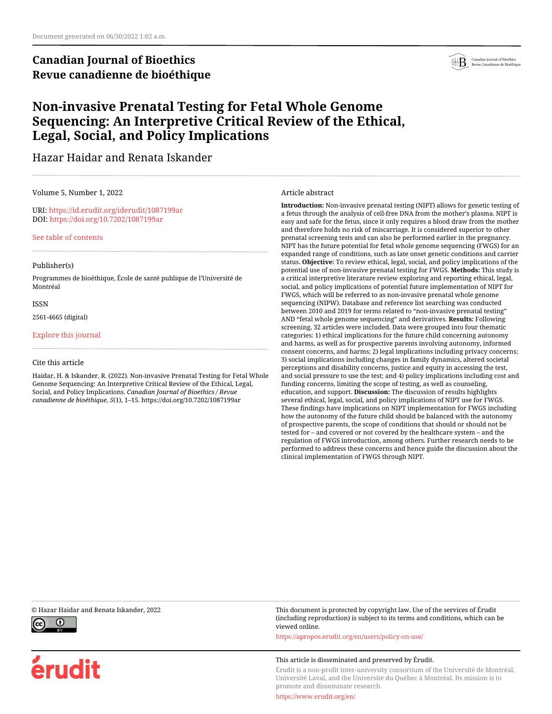# **Canadian Journal of Bioethics Revue canadienne de bioéthique**



# **Non-invasive Prenatal Testing for Fetal Whole Genome Sequencing: An Interpretive Critical Review of the Ethical, Legal, Social, and Policy Implications**

## Hazar Haidar and Renata Iskander

#### Volume 5, Number 1, 2022

URI:<https://id.erudit.org/iderudit/1087199ar> DOI:<https://doi.org/10.7202/1087199ar>

[See table of contents](https://www.erudit.org/en/journals/bioethics/2022-v5-n1-bioethics06848/)

#### Publisher(s)

Programmes de bioéthique, École de santé publique de l'Université de Montréal

ISSN

2561-4665 (digital)

[Explore this journal](https://www.erudit.org/en/journals/bioethics/)

#### Cite this article

Haidar, H. & Iskander, R. (2022). Non-invasive Prenatal Testing for Fetal Whole Genome Sequencing: An Interpretive Critical Review of the Ethical, Legal, Social, and Policy Implications. *Canadian Journal of Bioethics / Revue canadienne de bioéthique*, *5*(1), 1–15. https://doi.org/10.7202/1087199ar

#### Article abstract

**Introduction:** Non-invasive prenatal testing (NIPT) allows for genetic testing of a fetus through the analysis of cell-free DNA from the mother's plasma. NIPT is easy and safe for the fetus, since it only requires a blood draw from the mother and therefore holds no risk of miscarriage. It is considered superior to other prenatal screening tests and can also be performed earlier in the pregnancy. NIPT has the future potential for fetal whole genome sequencing (FWGS) for an expanded range of conditions, such as late onset genetic conditions and carrier status. **Objective:** To review ethical, legal, social, and policy implications of the potential use of non-invasive prenatal testing for FWGS. **Methods:** This study is a critical interpretive literature review exploring and reporting ethical, legal, social, and policy implications of potential future implementation of NIPT for FWGS, which will be referred to as non-invasive prenatal whole genome sequencing (NIPW). Database and reference list searching was conducted between 2010 and 2019 for terms related to "non-invasive prenatal testing" AND "fetal whole genome sequencing" and derivatives. **Results:** Following screening, 32 articles were included. Data were grouped into four thematic categories: 1) ethical implications for the future child concerning autonomy and harms, as well as for prospective parents involving autonomy, informed consent concerns, and harms; 2) legal implications including privacy concerns; 3) social implications including changes in family dynamics, altered societal perceptions and disability concerns, justice and equity in accessing the test, and social pressure to use the test; and 4) policy implications including cost and funding concerns, limiting the scope of testing, as well as counseling, education, and support. **Discussion:** The discussion of results highlights several ethical, legal, social, and policy implications of NIPT use for FWGS. These findings have implications on NIPT implementation for FWGS including how the autonomy of the future child should be balanced with the autonomy of prospective parents, the scope of conditions that should or should not be tested for – and covered or not covered by the healthcare system – and the regulation of FWGS introduction, among others. Further research needs to be performed to address these concerns and hence guide the discussion about the clinical implementation of FWGS through NIPT.



érudit

© Hazar Haidar and Renata Iskander, 2022 This document is protected by copyright law. Use of the services of Érudit (including reproduction) is subject to its terms and conditions, which can be viewed online.

<https://apropos.erudit.org/en/users/policy-on-use/>

#### This article is disseminated and preserved by Érudit.

Érudit is a non-profit inter-university consortium of the Université de Montréal, Université Laval, and the Université du Québec à Montréal. Its mission is to promote and disseminate research.

<https://www.erudit.org/en/>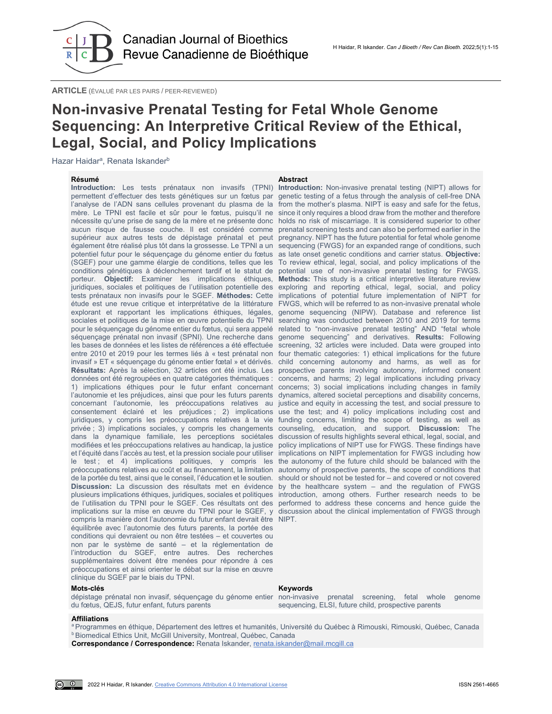

**ARTICLE** (ÉVALUÉ PAR LES PAIRS / PEER-REVIEWED)

# **Non-invasive Prenatal Testing for Fetal Whole Genome Sequencing: An Interpretive Critical Review of the Ethical, Legal, Social, and Policy Implications**

Hazar Haidar<sup>a</sup>, Renata Iskander<sup>b</sup>

**Résumé Abstract Introduction:** Les tests prénataux non invasifs (TPNI) **Introduction:** Non-invasive prenatal testing (NIPT) allows for permettent d'effectuer des tests génétiques sur un fœtus par genetic testing of a fetus through the analysis of cell-free DNA l'analyse de l'ADN sans cellules provenant du plasma de la from the mother's plasma. NIPT is easy and safe for the fetus, mère. Le TPNI est facile et sûr pour le fœtus, puisqu'il ne since it only requires a blood draw from the mother and therefore conditions génétiques à déclenchement tardif et le statut de compris la manière dont l'autonomie du futur enfant devrait être NIPT. équilibrée avec l'autonomie des futurs parents, la portée des conditions qui devraient ou non être testées – et couvertes ou non par le système de santé – et la réglementation de l'introduction du SGEF, entre autres. Des recherches supplémentaires doivent être menées pour répondre à ces préoccupations et ainsi orienter le débat sur la mise en œuvre clinique du SGEF par le biais du TPNI.

#### nécessite qu'une prise de sang de la mère et ne présente donc holds no risk of miscarriage. It is considered superior to other aucun risque de fausse couche. Il est considéré comme prenatal screening tests and can also be performed earlier in the supérieur aux autres tests de dépistage prénatal et peut pregnancy. NIPT has the future potential for fetal whole genome également être réalisé plus tôt dans la grossesse. Le TPNI a un sequencing (FWGS) for an expanded range of conditions, such potentiel futur pour le séquençage du génome entier du fœtus as late onset genetic conditions and carrier status. **Objective:**  (SGEF) pour une gamme élargie de conditions, telles que les To review ethical, legal, social, and policy implications of the porteur. **Objectif:** Examiner les implications éthiques, **Methods:** This study is a critical interpretive literature review juridiques, sociales et politiques de l'utilisation potentielle des exploring and reporting ethical, legal, social, and policy tests prénataux non invasifs pour le SGEF. **Méthodes:** Cette implications of potential future implementation of NIPT for étude est une revue critique et interprétative de la littérature FWGS, which will be referred to as non-invasive prenatal whole explorant et rapportant les implications éthiques, légales, genome sequencing (NIPW). Database and reference list sociales et politiques de la mise en œuvre potentielle du TPNI searching was conducted between 2010 and 2019 for terms pour le séquençage du génome entier du fœtus, qui sera appelé related to "non-invasive prenatal testing" AND "fetal whole séquençage prénatal non invasif (SPNI). Une recherche dans genome sequencing" and derivatives. **Results:** Following les bases de données et les listes de références a été effectuée screening, 32 articles were included. Data were grouped into entre 2010 et 2019 pour les termes liés à « test prénatal non four thematic categories: 1) ethical implications for the future invasif » ET « séquençage du génome entier fœtal » et dérivés. child concerning autonomy and harms, as well as for Résultats: Après la sélection, 32 articles ont été inclus. Les prospective parents involving autonomy, informed consent données ont été regroupées en quatre catégories thématiques : concerns, and harms; 2) legal implications including privacy 1) implications éthiques pour le futur enfant concernant concerns; 3) social implications including changes in family l'autonomie et les préjudices, ainsi que pour les futurs parents dynamics, altered societal perceptions and disability concerns, concernant l'autonomie, les préoccupations relatives au justice and equity in accessing the test, and social pressure to consentement éclairé et les préjudices ; 2) implications use the test; and 4) policy implications including cost and juridiques, y compris les préoccupations relatives à la vie funding concerns, limiting the scope of testing, as well as privée ; 3) implications sociales, y compris les changements counseling, education, and support. **Discussion:** The dans la dynamique familiale, les perceptions sociétales discussion of results highlights several ethical, legal, social, and modifiées et les préoccupations relatives au handicap, la justice policy implications of NIPT use for FWGS. These findings have et l'équité dans l'accès au test, et la pression sociale pour utiliser implications on NIPT implementation for FWGS including how le test; et 4) implications politiques, y compris les the autonomy of the future child should be balanced with the préoccupations relatives au coût et au financement, la limitation autonomy of prospective parents, the scope of conditions that de la portée du test, ainsi que le conseil, l'éducation et le soutien. should or should not be tested for – and covered or not covered **Discussion:** La discussion des résultats met en évidence by the healthcare system – and the regulation of FWGS plusieurs implications éthiques, juridiques, sociales et politiques introduction, among others. Further research needs to be de l'utilisation du TPNI pour le SGEF. Ces résultats ont des performed to address these concerns and hence guide the implications sur la mise en œuvre du TPNI pour le SGEF, y discussion about the clinical implementation of FWGS through potential use of non-invasive prenatal testing for FWGS.

#### **Mots-clés Keywords**

dépistage prénatal non invasif, séquençage du génome entier non-invasive prenatal screening, fetal whole genome du fœtus, QEJS, futur enfant, futurs parents

sequencing, ELSI, future child, prospective parents

#### **Affiliations**

<sup>a</sup> Programmes en éthique, Département des lettres et humanités, Université du Québec à Rimouski, Rimouski, Québec, Canada **b Biomedical Ethics Unit, McGill University, Montreal, Québec, Canada** 

**Correspondance / Correspondence:** Renata Iskander, [renata.iskander@mail.mcgill.ca](mailto:renata.iskander@mail.mcgill.ca)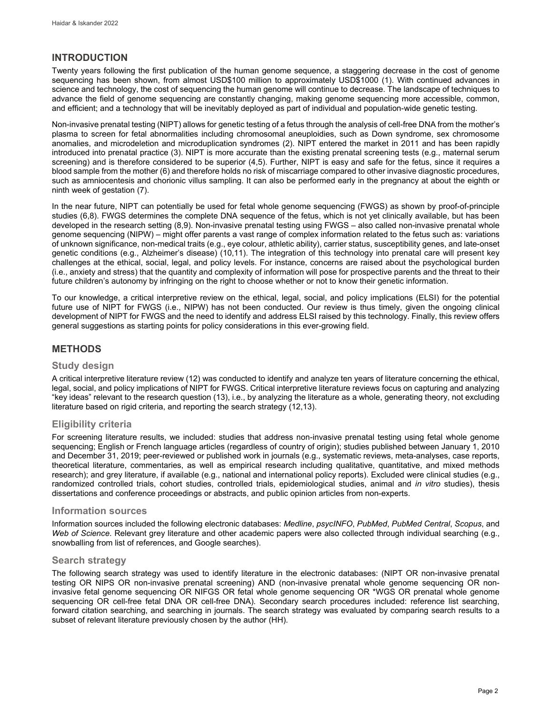## **INTRODUCTION**

Twenty years following the first publication of the human genome sequence, a staggering decrease in the cost of genome sequencing has been shown, from almost USD\$100 million to approximately USD\$1000 (1). With continued advances in science and technology, the cost of sequencing the human genome will continue to decrease. The landscape of techniques to advance the field of genome sequencing are constantly changing, making genome sequencing more accessible, common, and efficient; and a technology that will be inevitably deployed as part of individual and population-wide genetic testing.

Non-invasive prenatal testing (NIPT) allows for genetic testing of a fetus through the analysis of cell-free DNA from the mother's plasma to screen for fetal abnormalities including chromosomal aneuploidies, such as Down syndrome, sex chromosome anomalies, and microdeletion and microduplication syndromes (2). NIPT entered the market in 2011 and has been rapidly introduced into prenatal practice (3). NIPT is more accurate than the existing prenatal screening tests (e.g., maternal serum screening) and is therefore considered to be superior (4,5). Further, NIPT is easy and safe for the fetus, since it requires a blood sample from the mother (6) and therefore holds no risk of miscarriage compared to other invasive diagnostic procedures, such as amniocentesis and chorionic villus sampling. It can also be performed early in the pregnancy at about the eighth or ninth week of gestation (7).

In the near future, NIPT can potentially be used for fetal whole genome sequencing (FWGS) as shown by proof-of-principle studies (6,8). FWGS determines the complete DNA sequence of the fetus, which is not yet clinically available, but has been developed in the research setting (8,9). Non-invasive prenatal testing using FWGS – also called non-invasive prenatal whole genome sequencing (NIPW) – might offer parents a vast range of complex information related to the fetus such as: variations of unknown significance, non-medical traits (e.g., eye colour, athletic ability), carrier status, susceptibility genes, and late-onset genetic conditions (e.g., Alzheimer's disease) (10,11). The integration of this technology into prenatal care will present key challenges at the ethical, social, legal, and policy levels. For instance, concerns are raised about the psychological burden (i.e., anxiety and stress) that the quantity and complexity of information will pose for prospective parents and the threat to their future children's autonomy by infringing on the right to choose whether or not to know their genetic information.

To our knowledge, a critical interpretive review on the ethical, legal, social, and policy implications (ELSI) for the potential future use of NIPT for FWGS (i.e., NIPW) has not been conducted. Our review is thus timely, given the ongoing clinical development of NIPT for FWGS and the need to identify and address ELSI raised by this technology. Finally, this review offers general suggestions as starting points for policy considerations in this ever-growing field.

## **METHODS**

## **Study design**

A critical interpretive literature review (12) was conducted to identify and analyze ten years of literature concerning the ethical, legal, social, and policy implications of NIPT for FWGS. Critical interpretive literature reviews focus on capturing and analyzing "key ideas" relevant to the research question (13), i.e., by analyzing the literature as a whole, generating theory, not excluding literature based on rigid criteria, and reporting the search strategy (12,13).

## **Eligibility criteria**

For screening literature results, we included: studies that address non-invasive prenatal testing using fetal whole genome sequencing; English or French language articles (regardless of country of origin); studies published between January 1, 2010 and December 31, 2019; peer-reviewed or published work in journals (e.g., systematic reviews, meta-analyses, case reports, theoretical literature, commentaries, as well as empirical research including qualitative, quantitative, and mixed methods research); and grey literature, if available (e.g., national and international policy reports). Excluded were clinical studies (e.g., randomized controlled trials, cohort studies, controlled trials, epidemiological studies, animal and *in vitro* studies), thesis dissertations and conference proceedings or abstracts, and public opinion articles from non-experts.

#### **Information sources**

Information sources included the following electronic databases: *Medline*, *psycINFO*, *PubMed*, *PubMed Central*, *Scopus*, and *Web of Science*. Relevant grey literature and other academic papers were also collected through individual searching (e.g., snowballing from list of references, and Google searches).

## **Search strategy**

The following search strategy was used to identify literature in the electronic databases: (NIPT OR non-invasive prenatal testing OR NIPS OR non-invasive prenatal screening) AND (non-invasive prenatal whole genome sequencing OR noninvasive fetal genome sequencing OR NIFGS OR fetal whole genome sequencing OR \*WGS OR prenatal whole genome sequencing OR cell-free fetal DNA OR cell-free DNA). Secondary search procedures included: reference list searching, forward citation searching, and searching in journals. The search strategy was evaluated by comparing search results to a subset of relevant literature previously chosen by the author (HH).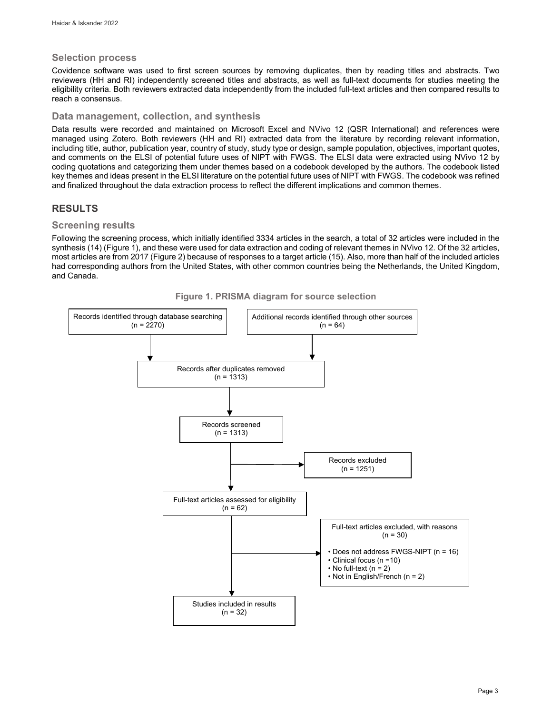#### **Selection process**

Covidence software was used to first screen sources by removing duplicates, then by reading titles and abstracts. Two reviewers (HH and RI) independently screened titles and abstracts, as well as full-text documents for studies meeting the eligibility criteria. Both reviewers extracted data independently from the included full-text articles and then compared results to reach a consensus.

#### **Data management, collection, and synthesis**

Data results were recorded and maintained on Microsoft Excel and NVivo 12 (QSR International) and references were managed using Zotero. Both reviewers (HH and RI) extracted data from the literature by recording relevant information, including title, author, publication year, country of study, study type or design, sample population, objectives, important quotes, and comments on the ELSI of potential future uses of NIPT with FWGS. The ELSI data were extracted using NVivo 12 by coding quotations and categorizing them under themes based on a codebook developed by the authors. The codebook listed key themes and ideas present in the ELSI literature on the potential future uses of NIPT with FWGS. The codebook was refined and finalized throughout the data extraction process to reflect the different implications and common themes.

## **RESULTS**

## **Screening results**

Following the screening process, which initially identified 3334 articles in the search, a total of 32 articles were included in the synthesis (14) (Figure 1), and these were used for data extraction and coding of relevant themes in NVivo 12. Of the 32 articles, most articles are from 2017 (Figure 2) because of responses to a target article (15). Also, more than half of the included articles had corresponding authors from the United States, with other common countries being the Netherlands, the United Kingdom, and Canada.



**Figure 1. PRISMA diagram for source selection**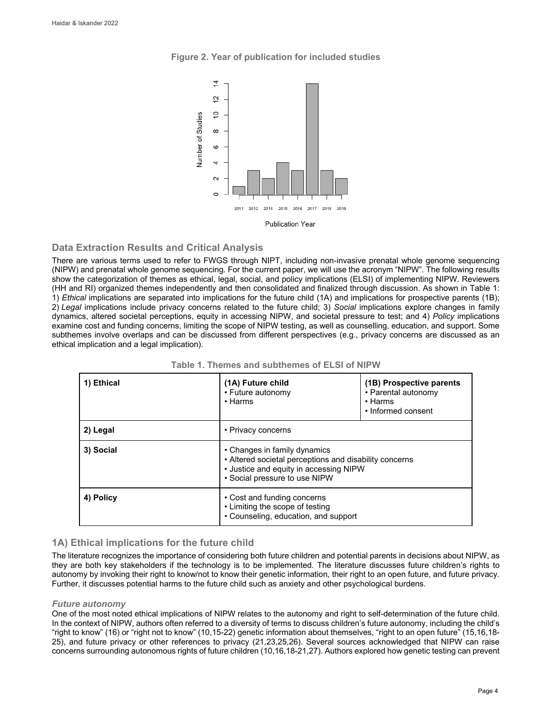



## **Data Extraction Results and Critical Analysis**

There are various terms used to refer to FWGS through NIPT, including non-invasive prenatal whole genome sequencing (NIPW) and prenatal whole genome sequencing. For the current paper, we will use the acronym "NIPW". The following results show the categorization of themes as ethical, legal, social, and policy implications (ELSI) of implementing NIPW. Reviewers (HH and RI) organized themes independently and then consolidated and finalized through discussion. As shown in Table 1: 1) *Ethical* implications are separated into implications for the future child (1A) and implications for prospective parents (1B); 2) *Legal* implications include privacy concerns related to the future child; 3) *Social* implications explore changes in family dynamics, altered societal perceptions, equity in accessing NIPW, and societal pressure to test; and 4) *Policy* implications examine cost and funding concerns, limiting the scope of NIPW testing, as well as counselling, education, and support. Some subthemes involve overlaps and can be discussed from different perspectives (e.g., privacy concerns are discussed as an ethical implication and a legal implication).

| 1) Ethical | (1A) Future child<br>• Future autonomy<br>$\cdot$ Harms                                                                                                           | (1B) Prospective parents<br>• Parental autonomy<br>$\cdot$ Harms<br>• Informed consent |
|------------|-------------------------------------------------------------------------------------------------------------------------------------------------------------------|----------------------------------------------------------------------------------------|
| 2) Legal   | • Privacy concerns                                                                                                                                                |                                                                                        |
| 3) Social  | • Changes in family dynamics<br>• Altered societal perceptions and disability concerns<br>• Justice and equity in accessing NIPW<br>• Social pressure to use NIPW |                                                                                        |
| 4) Policy  | • Cost and funding concerns<br>• Limiting the scope of testing<br>• Counseling, education, and support                                                            |                                                                                        |

| Table 1. Themes and subthemes of ELSI of NIPW |  |
|-----------------------------------------------|--|
|-----------------------------------------------|--|

## **1A) Ethical implications for the future child**

The literature recognizes the importance of considering both future children and potential parents in decisions about NIPW, as they are both key stakeholders if the technology is to be implemented. The literature discusses future children's rights to autonomy by invoking their right to know/not to know their genetic information, their right to an open future, and future privacy. Further, it discusses potential harms to the future child such as anxiety and other psychological burdens.

## *Future autonomy*

One of the most noted ethical implications of NIPW relates to the autonomy and right to self-determination of the future child. In the context of NIPW, authors often referred to a diversity of terms to discuss children's future autonomy, including the child's "right to know" (16) or "right not to know" (10,15-22) genetic information about themselves, "right to an open future" (15,16,18- 25), and future privacy or other references to privacy (21,23,25,26). Several sources acknowledged that NIPW can raise concerns surrounding autonomous rights of future children (10,16,18-21,27). Authors explored how genetic testing can prevent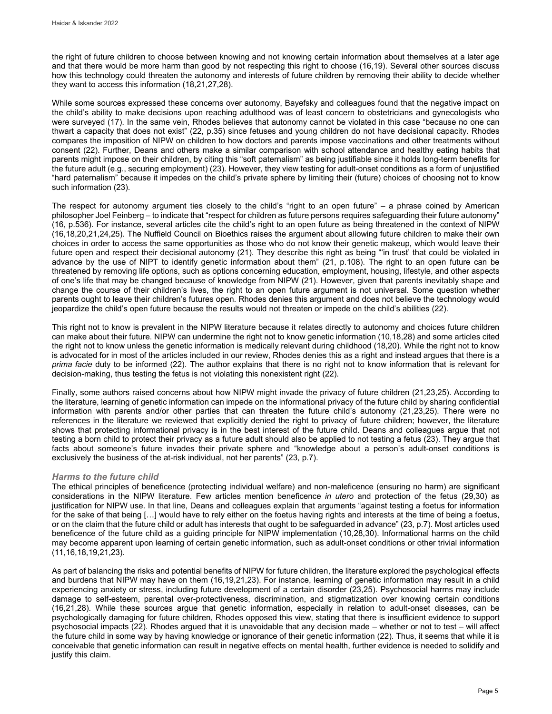the right of future children to choose between knowing and not knowing certain information about themselves at a later age and that there would be more harm than good by not respecting this right to choose (16,19). Several other sources discuss how this technology could threaten the autonomy and interests of future children by removing their ability to decide whether they want to access this information (18,21,27,28).

While some sources expressed these concerns over autonomy, Bayefsky and colleagues found that the negative impact on the child's ability to make decisions upon reaching adulthood was of least concern to obstetricians and gynecologists who were surveyed (17). In the same vein, Rhodes believes that autonomy cannot be violated in this case "because no one can thwart a capacity that does not exist" (22, p.35) since fetuses and young children do not have decisional capacity. Rhodes compares the imposition of NIPW on children to how doctors and parents impose vaccinations and other treatments without consent (22). Further, Deans and others make a similar comparison with school attendance and healthy eating habits that parents might impose on their children, by citing this "soft paternalism" as being justifiable since it holds long-term benefits for the future adult (e.g., securing employment) (23). However, they view testing for adult-onset conditions as a form of unjustified "hard paternalism" because it impedes on the child's private sphere by limiting their (future) choices of choosing not to know such information (23).

The respect for autonomy argument ties closely to the child's "right to an open future" – a phrase coined by American philosopher Joel Feinberg – to indicate that "respect for children as future persons requires safeguarding their future autonomy" (16, p.536). For instance, several articles cite the child's right to an open future as being threatened in the context of NIPW (16,18,20,21,24,25). The Nuffield Council on Bioethics raises the argument about allowing future children to make their own choices in order to access the same opportunities as those who do not know their genetic makeup, which would leave their future open and respect their decisional autonomy (21). They describe this right as being "'in trust' that could be violated in advance by the use of NIPT to identify genetic information about them" (21, p.108). The right to an open future can be threatened by removing life options, such as options concerning education, employment, housing, lifestyle, and other aspects of one's life that may be changed because of knowledge from NIPW (21). However, given that parents inevitably shape and change the course of their children's lives, the right to an open future argument is not universal. Some question whether parents ought to leave their children's futures open. Rhodes denies this argument and does not believe the technology would jeopardize the child's open future because the results would not threaten or impede on the child's abilities (22).

This right not to know is prevalent in the NIPW literature because it relates directly to autonomy and choices future children can make about their future. NIPW can undermine the right not to know genetic information (10,18,28) and some articles cited the right not to know unless the genetic information is medically relevant during childhood (18,20). While the right not to know is advocated for in most of the articles included in our review, Rhodes denies this as a right and instead argues that there is a *prima facie* duty to be informed (22). The author explains that there is no right not to know information that is relevant for decision-making, thus testing the fetus is not violating this nonexistent right (22).

Finally, some authors raised concerns about how NIPW might invade the privacy of future children (21,23,25). According to the literature, learning of genetic information can impede on the informational privacy of the future child by sharing confidential information with parents and/or other parties that can threaten the future child's autonomy (21,23,25). There were no references in the literature we reviewed that explicitly denied the right to privacy of future children; however, the literature shows that protecting informational privacy is in the best interest of the future child. Deans and colleagues argue that not testing a born child to protect their privacy as a future adult should also be applied to not testing a fetus (23). They argue that facts about someone's future invades their private sphere and "knowledge about a person's adult-onset conditions is exclusively the business of the at-risk individual, not her parents" (23, p.7).

## *Harms to the future child*

The ethical principles of beneficence (protecting individual welfare) and non-maleficence (ensuring no harm) are significant considerations in the NIPW literature. Few articles mention beneficence *in utero* and protection of the fetus (29,30) as justification for NIPW use. In that line, Deans and colleagues explain that arguments "against testing a foetus for information for the sake of that being […] would have to rely either on the foetus having rights and interests at the time of being a foetus, or on the claim that the future child or adult has interests that ought to be safeguarded in advance" (23, p.7). Most articles used beneficence of the future child as a guiding principle for NIPW implementation (10,28,30). Informational harms on the child may become apparent upon learning of certain genetic information, such as adult-onset conditions or other trivial information (11,16,18,19,21,23).

As part of balancing the risks and potential benefits of NIPW for future children, the literature explored the psychological effects and burdens that NIPW may have on them (16,19,21,23). For instance, learning of genetic information may result in a child experiencing anxiety or stress, including future development of a certain disorder (23,25). Psychosocial harms may include damage to self-esteem, parental over-protectiveness, discrimination, and stigmatization over knowing certain conditions (16,21,28). While these sources argue that genetic information, especially in relation to adult-onset diseases, can be psychologically damaging for future children, Rhodes opposed this view, stating that there is insufficient evidence to support psychosocial impacts (22). Rhodes argued that it is unavoidable that any decision made – whether or not to test – will affect the future child in some way by having knowledge or ignorance of their genetic information (22). Thus, it seems that while it is conceivable that genetic information can result in negative effects on mental health, further evidence is needed to solidify and justify this claim.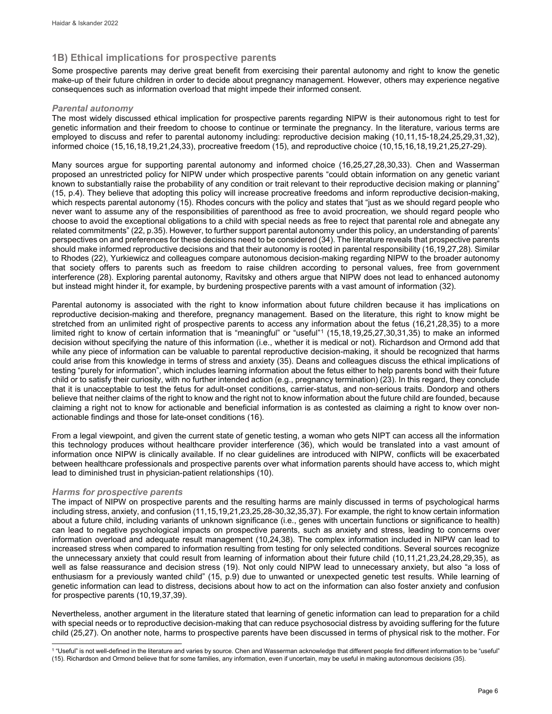## **1B) Ethical implications for prospective parents**

Some prospective parents may derive great benefit from exercising their parental autonomy and right to know the genetic make-up of their future children in order to decide about pregnancy management. However, others may experience negative consequences such as information overload that might impede their informed consent.

#### *Parental autonomy*

The most widely discussed ethical implication for prospective parents regarding NIPW is their autonomous right to test for genetic information and their freedom to choose to continue or terminate the pregnancy. In the literature, various terms are employed to discuss and refer to parental autonomy including: reproductive decision making (10,11,15-18,24,25,29,31,32), informed choice (15,16,18,19,21,24,33), procreative freedom (15), and reproductive choice (10,15,16,18,19,21,25,27-29).

Many sources argue for supporting parental autonomy and informed choice (16,25,27,28,30,33). Chen and Wasserman proposed an unrestricted policy for NIPW under which prospective parents "could obtain information on any genetic variant known to substantially raise the probability of any condition or trait relevant to their reproductive decision making or planning" (15, p.4). They believe that adopting this policy will increase procreative freedoms and inform reproductive decision-making, which respects parental autonomy (15). Rhodes concurs with the policy and states that "just as we should regard people who never want to assume any of the responsibilities of parenthood as free to avoid procreation, we should regard people who choose to avoid the exceptional obligations to a child with special needs as free to reject that parental role and abnegate any related commitments" (22, p.35). However, to further support parental autonomy under this policy, an understanding of parents' perspectives on and preferences for these decisions need to be considered (34). The literature reveals that prospective parents should make informed reproductive decisions and that their autonomy is rooted in parental responsibility (16,19,27,28). Similar to Rhodes (22), Yurkiewicz and colleagues compare autonomous decision-making regarding NIPW to the broader autonomy that society offers to parents such as freedom to raise children according to personal values, free from government interference (28). Exploring parental autonomy, Ravitsky and others argue that NIPW does not lead to enhanced autonomy but instead might hinder it, for example, by burdening prospective parents with a vast amount of information (32).

Parental autonomy is associated with the right to know information about future children because it has implications on reproductive decision-making and therefore, pregnancy management. Based on the literature, this right to know might be stretched from an unlimited right of prospective parents to access any information about the fetus (16,21,28,35) to a more limited right to know of certain information that is "meaningful" or "useful"[1](#page-6-0) (15,18,19,25,27,30,31,35) to make an informed decision without specifying the nature of this information (i.e., whether it is medical or not). Richardson and Ormond add that while any piece of information can be valuable to parental reproductive decision-making, it should be recognized that harms could arise from this knowledge in terms of stress and anxiety (35). Deans and colleagues discuss the ethical implications of testing "purely for information", which includes learning information about the fetus either to help parents bond with their future child or to satisfy their curiosity, with no further intended action (e.g., pregnancy termination) (23). In this regard, they conclude that it is unacceptable to test the fetus for adult-onset conditions, carrier-status, and non-serious traits. Dondorp and others believe that neither claims of the right to know and the right not to know information about the future child are founded, because claiming a right not to know for actionable and beneficial information is as contested as claiming a right to know over nonactionable findings and those for late-onset conditions (16).

From a legal viewpoint, and given the current state of genetic testing, a woman who gets NIPT can access all the information this technology produces without healthcare provider interference (36), which would be translated into a vast amount of information once NIPW is clinically available. If no clear guidelines are introduced with NIPW, conflicts will be exacerbated between healthcare professionals and prospective parents over what information parents should have access to, which might lead to diminished trust in physician-patient relationships (10).

#### *Harms for prospective parents*

The impact of NIPW on prospective parents and the resulting harms are mainly discussed in terms of psychological harms including stress, anxiety, and confusion (11,15,19,21,23,25,28-30,32,35,37). For example, the right to know certain information about a future child, including variants of unknown significance (i.e., genes with uncertain functions or significance to health) can lead to negative psychological impacts on prospective parents, such as anxiety and stress, leading to concerns over information overload and adequate result management (10,24,38). The complex information included in NIPW can lead to increased stress when compared to information resulting from testing for only selected conditions. Several sources recognize the unnecessary anxiety that could result from learning of information about their future child (10,11,21,23,24,28,29,35), as well as false reassurance and decision stress (19). Not only could NIPW lead to unnecessary anxiety, but also "a loss of enthusiasm for a previously wanted child" (15, p.9) due to unwanted or unexpected genetic test results. While learning of genetic information can lead to distress, decisions about how to act on the information can also foster anxiety and confusion for prospective parents (10,19,37,39).

Nevertheless, another argument in the literature stated that learning of genetic information can lead to preparation for a child with special needs or to reproductive decision-making that can reduce psychosocial distress by avoiding suffering for the future child (25,27). On another note, harms to prospective parents have been discussed in terms of physical risk to the mother. For

<span id="page-6-0"></span>l <sup>1</sup> "Useful" is not well-defined in the literature and varies by source. Chen and Wasserman acknowledge that different people find different information to be "useful" (15). Richardson and Ormond believe that for some families, any information, even if uncertain, may be useful in making autonomous decisions (35).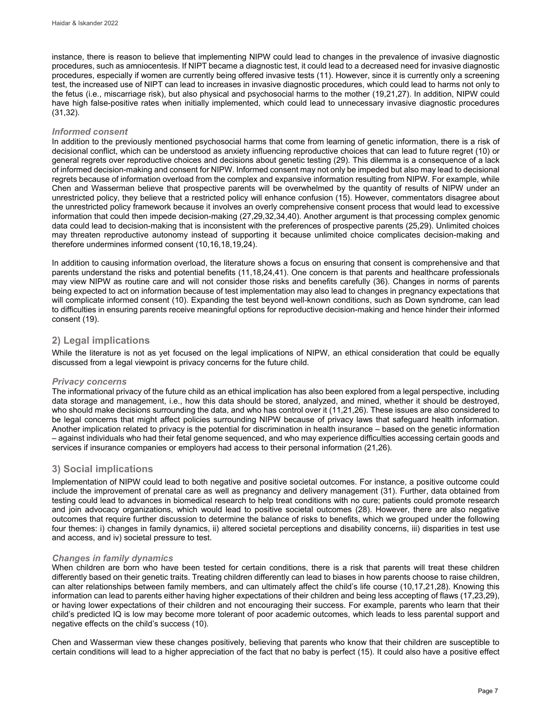instance, there is reason to believe that implementing NIPW could lead to changes in the prevalence of invasive diagnostic procedures, such as amniocentesis. If NIPT became a diagnostic test, it could lead to a decreased need for invasive diagnostic procedures, especially if women are currently being offered invasive tests (11). However, since it is currently only a screening test, the increased use of NIPT can lead to increases in invasive diagnostic procedures, which could lead to harms not only to the fetus (i.e., miscarriage risk), but also physical and psychosocial harms to the mother (19,21,27). In addition, NIPW could have high false-positive rates when initially implemented, which could lead to unnecessary invasive diagnostic procedures (31,32).

#### *Informed consent*

In addition to the previously mentioned psychosocial harms that come from learning of genetic information, there is a risk of decisional conflict, which can be understood as anxiety influencing reproductive choices that can lead to future regret (10) or general regrets over reproductive choices and decisions about genetic testing (29). This dilemma is a consequence of a lack of informed decision-making and consent for NIPW. Informed consent may not only be impeded but also may lead to decisional regrets because of information overload from the complex and expansive information resulting from NIPW. For example, while Chen and Wasserman believe that prospective parents will be overwhelmed by the quantity of results of NIPW under an unrestricted policy, they believe that a restricted policy will enhance confusion (15). However, commentators disagree about the unrestricted policy framework because it involves an overly comprehensive consent process that would lead to excessive information that could then impede decision-making (27,29,32,34,40). Another argument is that processing complex genomic data could lead to decision-making that is inconsistent with the preferences of prospective parents (25,29). Unlimited choices may threaten reproductive autonomy instead of supporting it because unlimited choice complicates decision-making and therefore undermines informed consent (10,16,18,19,24).

In addition to causing information overload, the literature shows a focus on ensuring that consent is comprehensive and that parents understand the risks and potential benefits (11,18,24,41). One concern is that parents and healthcare professionals may view NIPW as routine care and will not consider those risks and benefits carefully (36). Changes in norms of parents being expected to act on information because of test implementation may also lead to changes in pregnancy expectations that will complicate informed consent (10). Expanding the test beyond well-known conditions, such as Down syndrome, can lead to difficulties in ensuring parents receive meaningful options for reproductive decision-making and hence hinder their informed consent (19).

## **2) Legal implications**

While the literature is not as yet focused on the legal implications of NIPW, an ethical consideration that could be equally discussed from a legal viewpoint is privacy concerns for the future child.

#### *Privacy concerns*

The informational privacy of the future child as an ethical implication has also been explored from a legal perspective, including data storage and management, i.e., how this data should be stored, analyzed, and mined, whether it should be destroyed, who should make decisions surrounding the data, and who has control over it (11,21,26). These issues are also considered to be legal concerns that might affect policies surrounding NIPW because of privacy laws that safeguard health information. Another implication related to privacy is the potential for discrimination in health insurance – based on the genetic information – against individuals who had their fetal genome sequenced, and who may experience difficulties accessing certain goods and services if insurance companies or employers had access to their personal information (21,26).

## **3) Social implications**

Implementation of NIPW could lead to both negative and positive societal outcomes. For instance, a positive outcome could include the improvement of prenatal care as well as pregnancy and delivery management (31). Further, data obtained from testing could lead to advances in biomedical research to help treat conditions with no cure; patients could promote research and join advocacy organizations, which would lead to positive societal outcomes (28). However, there are also negative outcomes that require further discussion to determine the balance of risks to benefits, which we grouped under the following four themes: i) changes in family dynamics, ii) altered societal perceptions and disability concerns, iii) disparities in test use and access, and iv) societal pressure to test.

#### *Changes in family dynamics*

When children are born who have been tested for certain conditions, there is a risk that parents will treat these children differently based on their genetic traits. Treating children differently can lead to biases in how parents choose to raise children, can alter relationships between family members, and can ultimately affect the child's life course (10,17,21,28). Knowing this information can lead to parents either having higher expectations of their children and being less accepting of flaws (17,23,29), or having lower expectations of their children and not encouraging their success. For example, parents who learn that their child's predicted IQ is low may become more tolerant of poor academic outcomes, which leads to less parental support and negative effects on the child's success (10).

Chen and Wasserman view these changes positively, believing that parents who know that their children are susceptible to certain conditions will lead to a higher appreciation of the fact that no baby is perfect (15). It could also have a positive effect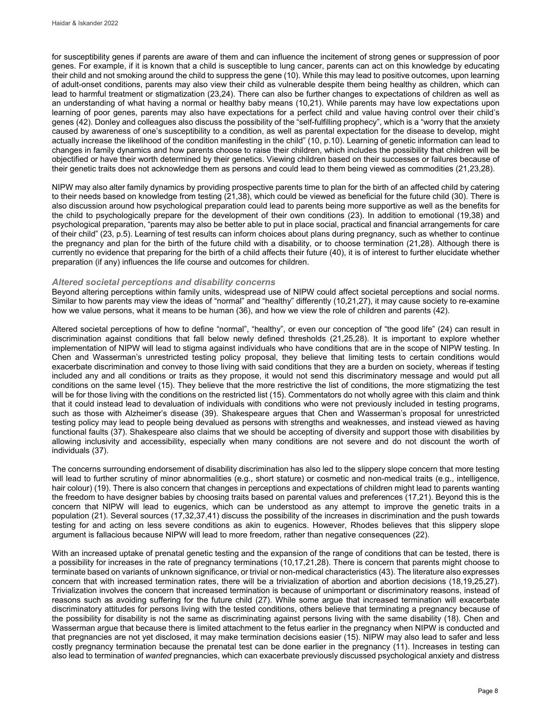for susceptibility genes if parents are aware of them and can influence the incitement of strong genes or suppression of poor genes. For example, if it is known that a child is susceptible to lung cancer, parents can act on this knowledge by educating their child and not smoking around the child to suppress the gene (10). While this may lead to positive outcomes, upon learning of adult-onset conditions, parents may also view their child as vulnerable despite them being healthy as children, which can lead to harmful treatment or stigmatization (23,24). There can also be further changes to expectations of children as well as an understanding of what having a normal or healthy baby means (10,21). While parents may have low expectations upon learning of poor genes, parents may also have expectations for a perfect child and value having control over their child's genes (42). Donley and colleagues also discuss the possibility of the "self-fulfilling prophecy", which is a "worry that the anxiety caused by awareness of one's susceptibility to a condition, as well as parental expectation for the disease to develop, might actually increase the likelihood of the condition manifesting in the child" (10, p.10). Learning of genetic information can lead to changes in family dynamics and how parents choose to raise their children, which includes the possibility that children will be objectified or have their worth determined by their genetics. Viewing children based on their successes or failures because of their genetic traits does not acknowledge them as persons and could lead to them being viewed as commodities (21,23,28).

NIPW may also alter family dynamics by providing prospective parents time to plan for the birth of an affected child by catering to their needs based on knowledge from testing (21,38), which could be viewed as beneficial for the future child (30). There is also discussion around how psychological preparation could lead to parents being more supportive as well as the benefits for the child to psychologically prepare for the development of their own conditions (23). In addition to emotional (19,38) and psychological preparation, "parents may also be better able to put in place social, practical and financial arrangements for care of their child" (23, p.5). Learning of test results can inform choices about plans during pregnancy, such as whether to continue the pregnancy and plan for the birth of the future child with a disability, or to choose termination (21,28). Although there is currently no evidence that preparing for the birth of a child affects their future (40), it is of interest to further elucidate whether preparation (if any) influences the life course and outcomes for children.

#### *Altered societal perceptions and disability concerns*

Beyond altering perceptions within family units, widespread use of NIPW could affect societal perceptions and social norms. Similar to how parents may view the ideas of "normal" and "healthy" differently (10,21,27), it may cause society to re-examine how we value persons, what it means to be human (36), and how we view the role of children and parents (42).

Altered societal perceptions of how to define "normal", "healthy", or even our conception of "the good life" (24) can result in discrimination against conditions that fall below newly defined thresholds (21,25,28). It is important to explore whether implementation of NIPW will lead to stigma against individuals who have conditions that are in the scope of NIPW testing. In Chen and Wasserman's unrestricted testing policy proposal, they believe that limiting tests to certain conditions would exacerbate discrimination and convey to those living with said conditions that they are a burden on society, whereas if testing included any and all conditions or traits as they propose, it would not send this discriminatory message and would put all conditions on the same level (15). They believe that the more restrictive the list of conditions, the more stigmatizing the test will be for those living with the conditions on the restricted list (15). Commentators do not wholly agree with this claim and think that it could instead lead to devaluation of individuals with conditions who were not previously included in testing programs, such as those with Alzheimer's disease (39). Shakespeare argues that Chen and Wasserman's proposal for unrestricted testing policy may lead to people being devalued as persons with strengths and weaknesses, and instead viewed as having functional faults (37). Shakespeare also claims that we should be accepting of diversity and support those with disabilities by allowing inclusivity and accessibility, especially when many conditions are not severe and do not discount the worth of individuals (37).

The concerns surrounding endorsement of disability discrimination has also led to the slippery slope concern that more testing will lead to further scrutiny of minor abnormalities (e.g., short stature) or cosmetic and non-medical traits (e.g., intelligence, hair colour) (19). There is also concern that changes in perceptions and expectations of children might lead to parents wanting the freedom to have designer babies by choosing traits based on parental values and preferences (17,21). Beyond this is the concern that NIPW will lead to eugenics, which can be understood as any attempt to improve the genetic traits in a population (21). Several sources (17,32,37,41) discuss the possibility of the increases in discrimination and the push towards testing for and acting on less severe conditions as akin to eugenics. However, Rhodes believes that this slippery slope argument is fallacious because NIPW will lead to more freedom, rather than negative consequences (22).

With an increased uptake of prenatal genetic testing and the expansion of the range of conditions that can be tested, there is a possibility for increases in the rate of pregnancy terminations (10,17,21,28). There is concern that parents might choose to terminate based on variants of unknown significance, or trivial or non-medical characteristics (43). The literature also expresses concern that with increased termination rates, there will be a trivialization of abortion and abortion decisions (18,19,25,27). Trivialization involves the concern that increased termination is because of unimportant or discriminatory reasons, instead of reasons such as avoiding suffering for the future child (27). While some argue that increased termination will exacerbate discriminatory attitudes for persons living with the tested conditions, others believe that terminating a pregnancy because of the possibility for disability is not the same as discriminating against persons living with the same disability (18). Chen and Wasserman argue that because there is limited attachment to the fetus earlier in the pregnancy when NIPW is conducted and that pregnancies are not yet disclosed, it may make termination decisions easier (15). NIPW may also lead to safer and less costly pregnancy termination because the prenatal test can be done earlier in the pregnancy (11). Increases in testing can also lead to termination of *wanted* pregnancies, which can exacerbate previously discussed psychological anxiety and distress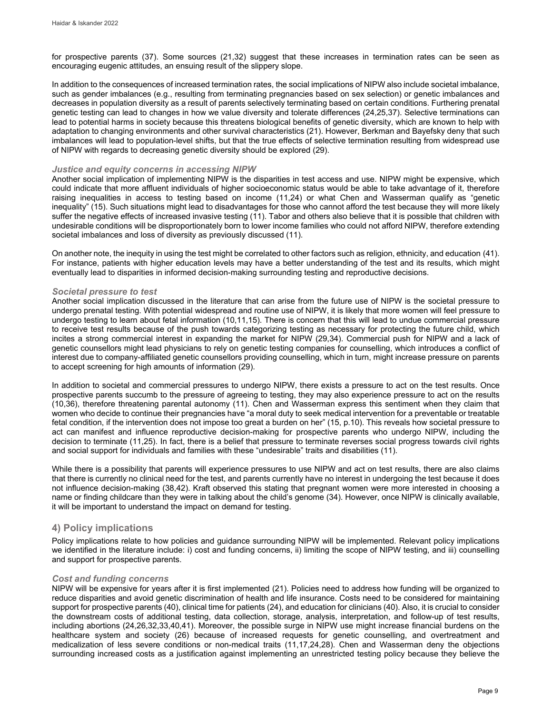for prospective parents (37). Some sources (21,32) suggest that these increases in termination rates can be seen as encouraging eugenic attitudes, an ensuing result of the slippery slope.

In addition to the consequences of increased termination rates, the social implications of NIPW also include societal imbalance, such as gender imbalances (e.g., resulting from terminating pregnancies based on sex selection) or genetic imbalances and decreases in population diversity as a result of parents selectively terminating based on certain conditions. Furthering prenatal genetic testing can lead to changes in how we value diversity and tolerate differences (24,25,37). Selective terminations can lead to potential harms in society because this threatens biological benefits of genetic diversity, which are known to help with adaptation to changing environments and other survival characteristics (21). However, Berkman and Bayefsky deny that such imbalances will lead to population-level shifts, but that the true effects of selective termination resulting from widespread use of NIPW with regards to decreasing genetic diversity should be explored (29).

#### *Justice and equity concerns in accessing NIPW*

Another social implication of implementing NIPW is the disparities in test access and use. NIPW might be expensive, which could indicate that more affluent individuals of higher socioeconomic status would be able to take advantage of it, therefore raising inequalities in access to testing based on income (11,24) or what Chen and Wasserman qualify as "genetic inequality" (15). Such situations might lead to disadvantages for those who cannot afford the test because they will more likely suffer the negative effects of increased invasive testing (11). Tabor and others also believe that it is possible that children with undesirable conditions will be disproportionately born to lower income families who could not afford NIPW, therefore extending societal imbalances and loss of diversity as previously discussed (11).

On another note, the inequity in using the test might be correlated to other factors such as religion, ethnicity, and education (41). For instance, patients with higher education levels may have a better understanding of the test and its results, which might eventually lead to disparities in informed decision-making surrounding testing and reproductive decisions.

#### *Societal pressure to test*

Another social implication discussed in the literature that can arise from the future use of NIPW is the societal pressure to undergo prenatal testing. With potential widespread and routine use of NIPW, it is likely that more women will feel pressure to undergo testing to learn about fetal information (10,11,15). There is concern that this will lead to undue commercial pressure to receive test results because of the push towards categorizing testing as necessary for protecting the future child, which incites a strong commercial interest in expanding the market for NIPW (29,34). Commercial push for NIPW and a lack of genetic counsellors might lead physicians to rely on genetic testing companies for counselling, which introduces a conflict of interest due to company-affiliated genetic counsellors providing counselling, which in turn, might increase pressure on parents to accept screening for high amounts of information (29).

In addition to societal and commercial pressures to undergo NIPW, there exists a pressure to act on the test results. Once prospective parents succumb to the pressure of agreeing to testing, they may also experience pressure to act on the results (10,36), therefore threatening parental autonomy (11). Chen and Wasserman express this sentiment when they claim that women who decide to continue their pregnancies have "a moral duty to seek medical intervention for a preventable or treatable fetal condition, if the intervention does not impose too great a burden on her" (15, p.10). This reveals how societal pressure to act can manifest and influence reproductive decision-making for prospective parents who undergo NIPW, including the decision to terminate (11,25). In fact, there is a belief that pressure to terminate reverses social progress towards civil rights and social support for individuals and families with these "undesirable" traits and disabilities (11).

While there is a possibility that parents will experience pressures to use NIPW and act on test results, there are also claims that there is currently no clinical need for the test, and parents currently have no interest in undergoing the test because it does not influence decision-making (38,42). Kraft observed this stating that pregnant women were more interested in choosing a name or finding childcare than they were in talking about the child's genome (34). However, once NIPW is clinically available, it will be important to understand the impact on demand for testing.

## **4) Policy implications**

Policy implications relate to how policies and guidance surrounding NIPW will be implemented. Relevant policy implications we identified in the literature include: i) cost and funding concerns, ii) limiting the scope of NIPW testing, and iii) counselling and support for prospective parents.

#### *Cost and funding concerns*

NIPW will be expensive for years after it is first implemented (21). Policies need to address how funding will be organized to reduce disparities and avoid genetic discrimination of health and life insurance. Costs need to be considered for maintaining support for prospective parents (40), clinical time for patients (24), and education for clinicians (40). Also, it is crucial to consider the downstream costs of additional testing, data collection, storage, analysis, interpretation, and follow-up of test results, including abortions (24,26,32,33,40,41). Moreover, the possible surge in NIPW use might increase financial burdens on the healthcare system and society (26) because of increased requests for genetic counselling, and overtreatment and medicalization of less severe conditions or non-medical traits (11,17,24,28). Chen and Wasserman deny the objections surrounding increased costs as a justification against implementing an unrestricted testing policy because they believe the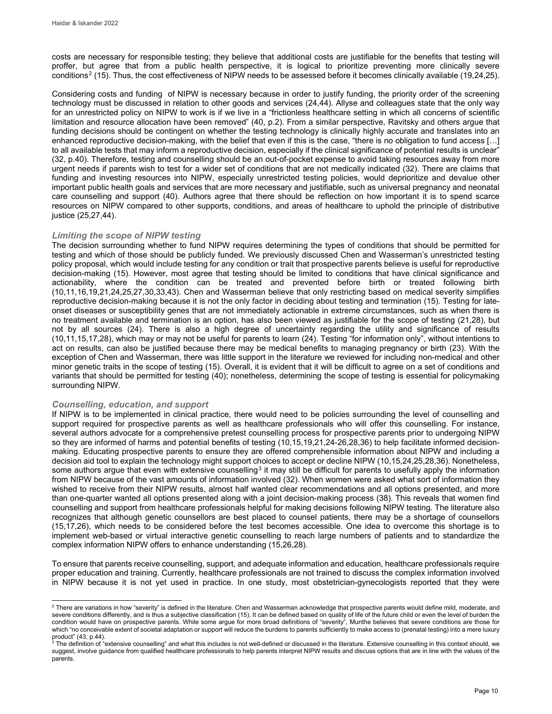costs are necessary for responsible testing; they believe that additional costs are justifiable for the benefits that testing will proffer, but agree that from a public health perspective, it is logical to prioritize preventing more clinically severe conditions<sup>[2](#page-10-0)</sup> (15). Thus, the cost effectiveness of NIPW needs to be assessed before it becomes clinically available (19,24,25).

Considering costs and funding of NIPW is necessary because in order to justify funding, the priority order of the screening technology must be discussed in relation to other goods and services (24,44). Allyse and colleagues state that the only way for an unrestricted policy on NIPW to work is if we live in a "frictionless healthcare setting in which all concerns of scientific limitation and resource allocation have been removed" (40, p.2). From a similar perspective, Ravitsky and others argue that funding decisions should be contingent on whether the testing technology is clinically highly accurate and translates into an enhanced reproductive decision-making, with the belief that even if this is the case, "there is no obligation to fund access […] to all available tests that may inform a reproductive decision, especially if the clinical significance of potential results is unclear" (32, p.40). Therefore, testing and counselling should be an out-of-pocket expense to avoid taking resources away from more urgent needs if parents wish to test for a wider set of conditions that are not medically indicated (32). There are claims that funding and investing resources into NIPW, especially unrestricted testing policies, would deprioritize and devalue other important public health goals and services that are more necessary and justifiable, such as universal pregnancy and neonatal care counselling and support (40). Authors agree that there should be reflection on how important it is to spend scarce resources on NIPW compared to other supports, conditions, and areas of healthcare to uphold the principle of distributive justice (25,27,44).

#### *Limiting the scope of NIPW testing*

The decision surrounding whether to fund NIPW requires determining the types of conditions that should be permitted for testing and which of those should be publicly funded. We previously discussed Chen and Wasserman's unrestricted testing policy proposal, which would include testing for any condition or trait that prospective parents believe is useful for reproductive decision-making (15). However, most agree that testing should be limited to conditions that have clinical significance and actionability, where the condition can be treated and prevented before birth or treated following birth (10,11,16,19,21,24,25,27,30,33,43). Chen and Wasserman believe that only restricting based on medical severity simplifies reproductive decision-making because it is not the only factor in deciding about testing and termination (15). Testing for lateonset diseases or susceptibility genes that are not immediately actionable in extreme circumstances, such as when there is no treatment available and termination is an option, has also been viewed as justifiable for the scope of testing (21,28), but not by all sources (24). There is also a high degree of uncertainty regarding the utility and significance of results (10,11,15,17,28), which may or may not be useful for parents to learn (24). Testing "for information only", without intentions to act on results, can also be justified because there may be medical benefits to managing pregnancy or birth (23). With the exception of Chen and Wasserman, there was little support in the literature we reviewed for including non-medical and other minor genetic traits in the scope of testing (15). Overall, it is evident that it will be difficult to agree on a set of conditions and variants that should be permitted for testing (40); nonetheless, determining the scope of testing is essential for policymaking surrounding NIPW.

#### *Counselling, education, and support*

If NIPW is to be implemented in clinical practice, there would need to be policies surrounding the level of counselling and support required for prospective parents as well as healthcare professionals who will offer this counselling. For instance, several authors advocate for a comprehensive pretest counselling process for prospective parents prior to undergoing NIPW so they are informed of harms and potential benefits of testing (10,15,19,21,24-26,28,36) to help facilitate informed decisionmaking. Educating prospective parents to ensure they are offered comprehensible information about NIPW and including a decision aid tool to explain the technology might support choices to accept or decline NIPW (10,15,24,25,28,36). Nonetheless, some authors argue that even with extensive counselling<sup>[3](#page-10-1)</sup> it may still be difficult for parents to usefully apply the information from NIPW because of the vast amounts of information involved (32). When women were asked what sort of information they wished to receive from their NIPW results, almost half wanted clear recommendations and all options presented, and more than one-quarter wanted all options presented along with a joint decision-making process (38). This reveals that women find counselling and support from healthcare professionals helpful for making decisions following NIPW testing. The literature also recognizes that although genetic counsellors are best placed to counsel patients, there may be a shortage of counsellors (15,17,26), which needs to be considered before the test becomes accessible. One idea to overcome this shortage is to implement web-based or virtual interactive genetic counselling to reach large numbers of patients and to standardize the complex information NIPW offers to enhance understanding (15,26,28).

To ensure that parents receive counselling, support, and adequate information and education, healthcare professionals require proper education and training. Currently, healthcare professionals are not trained to discuss the complex information involved in NIPW because it is not yet used in practice. In one study, most obstetrician-gynecologists reported that they were

<span id="page-10-0"></span>j  $^2$  There are variations in how "severity" is defined in the literature. Chen and Wasserman acknowledge that prospective parents would define mild, moderate, and severe conditions differently, and is thus a subjective classification (15). It can be defined based on quality of life of the future child or even the level of burden the condition would have on prospective parents. While some argue for more broad definitions of "severity", Munthe believes that severe conditions are those for which "no conceivable extent of societal adaptation or support will reduce the burdens to parents sufficiently to make access to (prenatal testing) into a mere luxury<br>a Troduct" (43, p.44)

<span id="page-10-1"></span>The definition of "extensive counselling" and what this includes is not well-defined or discussed in the literature. Extensive counselling in this context should, we suggest, involve guidance from qualified healthcare professionals to help parents interpret NIPW results and discuss options that are in line with the values of the parents.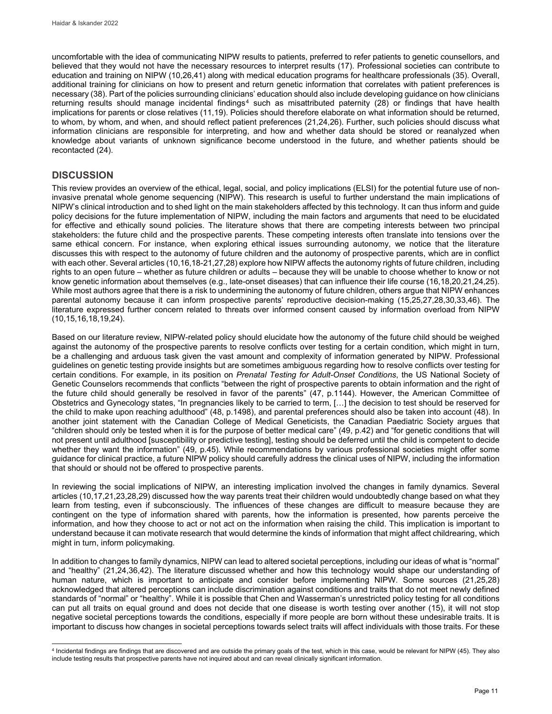uncomfortable with the idea of communicating NIPW results to patients, preferred to refer patients to genetic counsellors, and believed that they would not have the necessary resources to interpret results (17). Professional societies can contribute to education and training on NIPW (10,26,41) along with medical education programs for healthcare professionals (35). Overall, additional training for clinicians on how to present and return genetic information that correlates with patient preferences is necessary (38). Part of the policies surrounding clinicians' education should also include developing guidance on how clinicians returning results should manage incidental findings<sup>[4](#page-11-0)</sup> such as misattributed paternity (28) or findings that have health implications for parents or close relatives (11,19). Policies should therefore elaborate on what information should be returned, to whom, by whom, and when, and should reflect patient preferences (21,24,26). Further, such policies should discuss what information clinicians are responsible for interpreting, and how and whether data should be stored or reanalyzed when knowledge about variants of unknown significance become understood in the future, and whether patients should be recontacted (24).

## **DISCUSSION**

This review provides an overview of the ethical, legal, social, and policy implications (ELSI) for the potential future use of noninvasive prenatal whole genome sequencing (NIPW). This research is useful to further understand the main implications of NIPW's clinical introduction and to shed light on the main stakeholders affected by this technology. It can thus inform and guide policy decisions for the future implementation of NIPW, including the main factors and arguments that need to be elucidated for effective and ethically sound policies. The literature shows that there are competing interests between two principal stakeholders: the future child and the prospective parents. These competing interests often translate into tensions over the same ethical concern. For instance, when exploring ethical issues surrounding autonomy, we notice that the literature discusses this with respect to the autonomy of future children and the autonomy of prospective parents, which are in conflict with each other. Several articles (10,16,18-21,27,28) explore how NIPW affects the autonomy rights of future children, including rights to an open future – whether as future children or adults – because they will be unable to choose whether to know or not know genetic information about themselves (e.g., late-onset diseases) that can influence their life course (16,18,20,21,24,25). While most authors agree that there is a risk to undermining the autonomy of future children, others argue that NIPW enhances parental autonomy because it can inform prospective parents' reproductive decision-making (15,25,27,28,30,33,46). The literature expressed further concern related to threats over informed consent caused by information overload from NIPW (10,15,16,18,19,24).

Based on our literature review, NIPW-related policy should elucidate how the autonomy of the future child should be weighed against the autonomy of the prospective parents to resolve conflicts over testing for a certain condition, which might in turn, be a challenging and arduous task given the vast amount and complexity of information generated by NIPW. Professional guidelines on genetic testing provide insights but are sometimes ambiguous regarding how to resolve conflicts over testing for certain conditions. For example, in its position on *Prenatal Testing for Adult-Onset Conditions*, the US National Society of Genetic Counselors recommends that conflicts "between the right of prospective parents to obtain information and the right of the future child should generally be resolved in favor of the parents" (47, p.1144). However, the American Committee of Obstetrics and Gynecology states, "In pregnancies likely to be carried to term, […] the decision to test should be reserved for the child to make upon reaching adulthood" (48, p.1498), and parental preferences should also be taken into account (48). In another joint statement with the Canadian College of Medical Geneticists, the Canadian Paediatric Society argues that "children should only be tested when it is for the purpose of better medical care" (49, p.42) and "for genetic conditions that will not present until adulthood [susceptibility or predictive testing], testing should be deferred until the child is competent to decide whether they want the information" (49, p.45). While recommendations by various professional societies might offer some guidance for clinical practice, a future NIPW policy should carefully address the clinical uses of NIPW, including the information that should or should not be offered to prospective parents.

In reviewing the social implications of NIPW, an interesting implication involved the changes in family dynamics. Several articles (10,17,21,23,28,29) discussed how the way parents treat their children would undoubtedly change based on what they learn from testing, even if subconsciously. The influences of these changes are difficult to measure because they are contingent on the type of information shared with parents, how the information is presented, how parents perceive the information, and how they choose to act or not act on the information when raising the child. This implication is important to understand because it can motivate research that would determine the kinds of information that might affect childrearing, which might in turn, inform policymaking.

In addition to changes to family dynamics, NIPW can lead to altered societal perceptions, including our ideas of what is "normal" and "healthy" (21,24,36,42). The literature discussed whether and how this technology would shape our understanding of human nature, which is important to anticipate and consider before implementing NIPW. Some sources (21,25,28) acknowledged that altered perceptions can include discrimination against conditions and traits that do not meet newly defined standards of "normal" or "healthy". While it is possible that Chen and Wasserman's unrestricted policy testing for all conditions can put all traits on equal ground and does not decide that one disease is worth testing over another (15), it will not stop negative societal perceptions towards the conditions, especially if more people are born without these undesirable traits. It is important to discuss how changes in societal perceptions towards select traits will affect individuals with those traits. For these

<span id="page-11-0"></span>l <sup>4</sup> Incidental findings are findings that are discovered and are outside the primary goals of the test, which in this case, would be relevant for NIPW (45). They also include testing results that prospective parents have not inquired about and can reveal clinically significant information.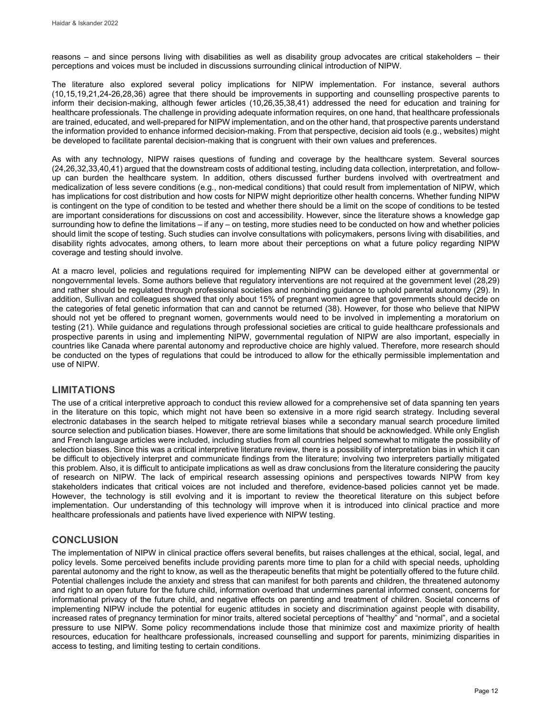reasons – and since persons living with disabilities as well as disability group advocates are critical stakeholders – their perceptions and voices must be included in discussions surrounding clinical introduction of NIPW.

The literature also explored several policy implications for NIPW implementation. For instance, several authors (10,15,19,21,24-26,28,36) agree that there should be improvements in supporting and counselling prospective parents to inform their decision-making, although fewer articles (10,26,35,38,41) addressed the need for education and training for healthcare professionals. The challenge in providing adequate information requires, on one hand, that healthcare professionals are trained, educated, and well-prepared for NIPW implementation, and on the other hand, that prospective parents understand the information provided to enhance informed decision-making. From that perspective, decision aid tools (e.g., websites) might be developed to facilitate parental decision-making that is congruent with their own values and preferences.

As with any technology, NIPW raises questions of funding and coverage by the healthcare system. Several sources (24,26,32,33,40,41) argued that the downstream costs of additional testing, including data collection, interpretation, and followup can burden the healthcare system. In addition, others discussed further burdens involved with overtreatment and medicalization of less severe conditions (e.g., non-medical conditions) that could result from implementation of NIPW, which has implications for cost distribution and how costs for NIPW might deprioritize other health concerns. Whether funding NIPW is contingent on the type of condition to be tested and whether there should be a limit on the scope of conditions to be tested are important considerations for discussions on cost and accessibility. However, since the literature shows a knowledge gap surrounding how to define the limitations – if any – on testing, more studies need to be conducted on how and whether policies should limit the scope of testing. Such studies can involve consultations with policymakers, persons living with disabilities, and disability rights advocates, among others, to learn more about their perceptions on what a future policy regarding NIPW coverage and testing should involve.

At a macro level, policies and regulations required for implementing NIPW can be developed either at governmental or nongovernmental levels. Some authors believe that regulatory interventions are not required at the government level (28,29) and rather should be regulated through professional societies and nonbinding guidance to uphold parental autonomy (29). In addition, Sullivan and colleagues showed that only about 15% of pregnant women agree that governments should decide on the categories of fetal genetic information that can and cannot be returned (38). However, for those who believe that NIPW should not yet be offered to pregnant women, governments would need to be involved in implementing a moratorium on testing (21). While guidance and regulations through professional societies are critical to guide healthcare professionals and prospective parents in using and implementing NIPW, governmental regulation of NIPW are also important, especially in countries like Canada where parental autonomy and reproductive choice are highly valued. Therefore, more research should be conducted on the types of regulations that could be introduced to allow for the ethically permissible implementation and use of NIPW.

## **LIMITATIONS**

The use of a critical interpretive approach to conduct this review allowed for a comprehensive set of data spanning ten years in the literature on this topic, which might not have been so extensive in a more rigid search strategy. Including several electronic databases in the search helped to mitigate retrieval biases while a secondary manual search procedure limited source selection and publication biases. However, there are some limitations that should be acknowledged. While only English and French language articles were included, including studies from all countries helped somewhat to mitigate the possibility of selection biases. Since this was a critical interpretive literature review, there is a possibility of interpretation bias in which it can be difficult to objectively interpret and communicate findings from the literature; involving two interpreters partially mitigated this problem. Also, it is difficult to anticipate implications as well as draw conclusions from the literature considering the paucity of research on NIPW. The lack of empirical research assessing opinions and perspectives towards NIPW from key stakeholders indicates that critical voices are not included and therefore, evidence-based policies cannot yet be made. However, the technology is still evolving and it is important to review the theoretical literature on this subject before implementation. Our understanding of this technology will improve when it is introduced into clinical practice and more healthcare professionals and patients have lived experience with NIPW testing.

## **CONCLUSION**

The implementation of NIPW in clinical practice offers several benefits, but raises challenges at the ethical, social, legal, and policy levels. Some perceived benefits include providing parents more time to plan for a child with special needs, upholding parental autonomy and the right to know, as well as the therapeutic benefits that might be potentially offered to the future child. Potential challenges include the anxiety and stress that can manifest for both parents and children, the threatened autonomy and right to an open future for the future child, information overload that undermines parental informed consent, concerns for informational privacy of the future child, and negative effects on parenting and treatment of children. Societal concerns of implementing NIPW include the potential for eugenic attitudes in society and discrimination against people with disability, increased rates of pregnancy termination for minor traits, altered societal perceptions of "healthy" and "normal", and a societal pressure to use NIPW. Some policy recommendations include those that minimize cost and maximize priority of health resources, education for healthcare professionals, increased counselling and support for parents, minimizing disparities in access to testing, and limiting testing to certain conditions.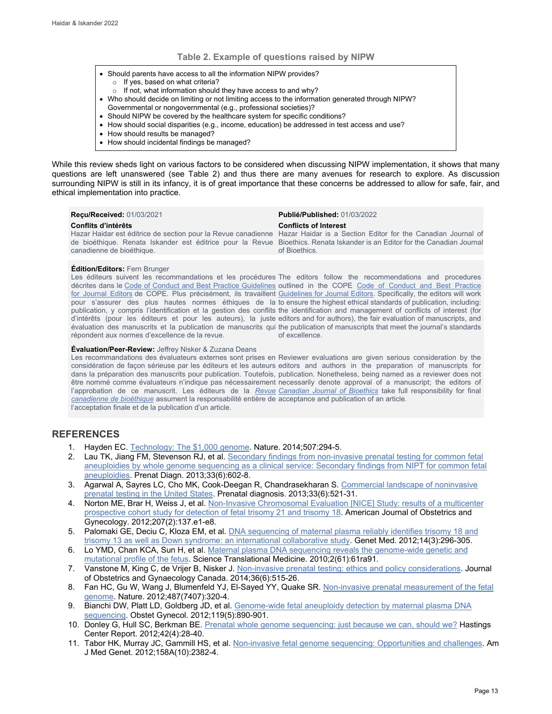#### **Table 2. Example of questions raised by NIPW**

- Should parents have access to all the information NIPW provides? o If yes, based on what criteria?
- o If not, what information should they have access to and why?
- Who should decide on limiting or not limiting access to the information generated through NIPW?
- Governmental or nongovernmental (e.g., professional societies)?
- Should NIPW be covered by the healthcare system for specific conditions?
- How should social disparities (e.g., income, education) be addressed in test access and use?
- How should results be managed?
- How should incidental findings be managed?

While this review sheds light on various factors to be considered when discussing NIPW implementation, it shows that many questions are left unanswered (see Table 2) and thus there are many avenues for research to explore. As discussion surrounding NIPW is still in its infancy, it is of great importance that these concerns be addressed to allow for safe, fair, and ethical implementation into practice.

| <b>Recu/Received: 01/03/2021</b>                 | <b>Publié/Published: 01/03/2022</b>                                                                                                                                                                                                                                                                       |
|--------------------------------------------------|-----------------------------------------------------------------------------------------------------------------------------------------------------------------------------------------------------------------------------------------------------------------------------------------------------------|
| Conflits d'intérêts<br>canadienne de bioéthique. | <b>Conflicts of Interest</b><br>Hazar Haidar est éditrice de section pour la Revue canadienne Hazar Haidar is a Section Editor for the Canadian Journal of<br>de bioéthique. Renata Iskander est éditrice pour la Revue Bioethics. Renata Iskander is an Editor for the Canadian Journal<br>of Bioethics. |
|                                                  |                                                                                                                                                                                                                                                                                                           |

#### **Édition/Editors:** Fern Brunger

Les éditeurs suivent les recommandations et les procédures The editors follow the recommendations and procedures décrites dans le Code of Conduct [and Best Practice Guidelines](http://publicationethics.org/resources/code-conduct) outlined in the COPE Code of Conduct and Best Practice [for Journal Editors](http://publicationethics.org/resources/code-conduct) de COPE. Plus précisément, ils travaillent [Guidelines for Journal Editors.](http://publicationethics.org/resources/code-conduct) Specifically, the editors will work pour s'assurer des plus hautes normes éthiques de la to ensure the highest ethical standards of publication, including: publication, y compris l'identification et la gestion des conflits the identification and management of conflicts of interest (for d'intérêts (pour les éditeurs et pour les auteurs), la juste editors and for authors), the fair evaluation of manuscripts, and évaluation des manuscrits et la publication de manuscrits qui the publication of manuscripts that meet the journal's standards répondent aux normes d'excellence de la revue.

of excellence.

#### **Évaluation/Peer-Review:** Jeffrey Nisker & Zuzana Deans

Les recommandations des évaluateurs externes sont prises en Reviewer evaluations are given serious consideration by the considération de façon sérieuse par les éditeurs et les auteurs editors and authors in the preparation of manuscripts for dans la préparation des manuscrits pour publication. Toutefois, publication. Nonetheless, being named as a reviewer does not être nommé comme évaluateurs n'indique pas nécessairement necessarily denote approval of a manuscript; the editors of l'approbation de ce manuscrit. Les éditeurs de la <u>*Revue* C*anadian Journal of Bioethics</u> take full* responsibility for final</u> *[canadienne de bioéthique](http://cjb-rcb.ca/)* assument la responsabilité entière de acceptance and publication of an article. l'acceptation finale et de la publication d'un article.

## **REFERENCES**

- 1. Hayden EC[. Technology: The \\$1,000 genome.](https://www.nature.com/articles/507294a) Nature. 2014;507:294-5.
- 2. Lau TK, Jiang FM, Stevenson RJ, et al. Secondary findings from non-invasive prenatal testing for common fetal [aneuploidies by whole genome sequencing as a clinical service: Secondary findings from NIPT for common fetal](http://doi.wiley.com/10.1002/pd.4076)  [aneuploidies.](http://doi.wiley.com/10.1002/pd.4076) Prenat Diagn. 2013;33(6):602-8.
- 3. Agarwal A, Sayres LC, Cho MK, Cook-Deegan R, Chandrasekharan S. Commercial landscape of noninvasive [prenatal testing in the United States.](https://pubmed.ncbi.nlm.nih.gov/23686656/) Prenatal diagnosis. 2013;33(6):521-31.
- 4. Norton ME, Brar H, Weiss J, et al. Non-Invasive Chromosomal Evaluation [NICE] Study: results of a multicenter [prospective cohort study for detection of fetal trisomy 21 and trisomy 18.](https://pubmed.ncbi.nlm.nih.gov/22742782/) American Journal of Obstetrics and Gynecology. 2012;207(2):137.e1-e8.
- 5. Palomaki GE, Deciu C, Kloza EM, et al. **DNA sequencing of maternal plasma reliably identifies trisomy 18 and** [trisomy 13 as well as Down syndrome: an international collaborative study.](http://www.nature.com/articles/gim201173) Genet Med. 2012;14(3):296-305.
- 6. Lo YMD, Chan KCA, Sun H, et al[. Maternal plasma DNA sequencing reveals the genome-wide genetic and](https://stm.sciencemag.org/lookup/doi/10.1126/scitranslmed.3001720)  [mutational profile of the fetus.](https://stm.sciencemag.org/lookup/doi/10.1126/scitranslmed.3001720) Science Translational Medicine. 2010;2(61):61ra91.
- 7. Vanstone M, King C, de Vrijer B, Nisker J. [Non-invasive prenatal testing: ethics and policy considerations.](https://pubmed.ncbi.nlm.nih.gov/24927192/) Journal of Obstetrics and Gynaecology Canada. 2014;36(6):515-26.
- 8. Fan HC, Gu W, Wang J, Blumenfeld YJ, El-Sayed YY, Quake SR[. Non-invasive prenatal measurement of the fetal](https://pubmed.ncbi.nlm.nih.gov/22763444/)  [genome.](https://pubmed.ncbi.nlm.nih.gov/22763444/) Nature. 2012;487(7407):320-4.
- 9. Bianchi DW, Platt LD, Goldberg JD, et al. Genome-wide fetal aneuploidy detection by maternal plasma DNA [sequencing.](https://pubmed.ncbi.nlm.nih.gov/22362253/) Obstet Gynecol. 2012;119(5):890-901.
- 10. Donley G, Hull SC, Berkman BE. [Prenatal whole genome sequencing: just because we can, should we?](http://doi.wiley.com/10.1002/hast.50) Hastings Center Report. 2012;42(4):28-40.
- 11. Tabor HK, Murray JC, Gammill HS, et al[. Non-invasive fetal genome sequencing: Opportunities and challenges.](http://doi.wiley.com/10.1002/ajmg.a.35545) Am J Med Genet. 2012;158A(10):2382-4.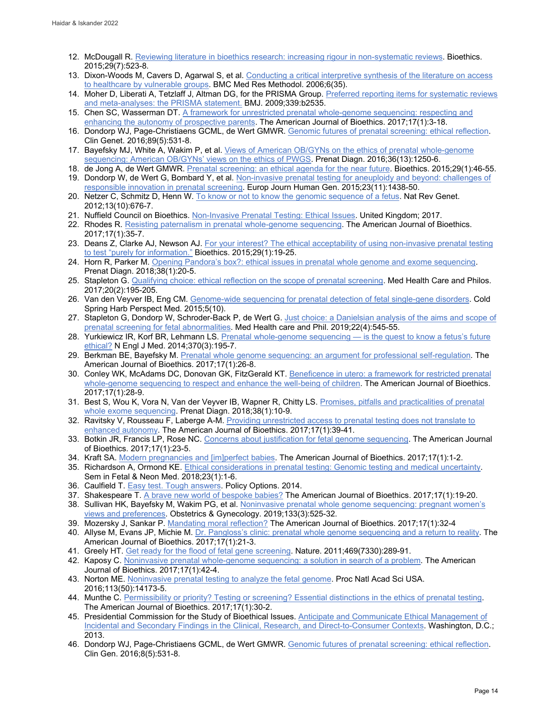- 12. McDougall R. [Reviewing literature in bioethics research: increasing rigour in non-systematic reviews.](http://doi.wiley.com/10.1111/bioe.12149) Bioethics. 2015;29(7):523-8.
- 13. Dixon-Woods M, Cavers D, Agarwal S, et al. [Conducting a critical interpretive synthesis of the literature on access](https://pubmed.ncbi.nlm.nih.gov/16872487/)  [to healthcare by vulnerable groups.](https://pubmed.ncbi.nlm.nih.gov/16872487/) BMC Med Res Methodol. 2006;6(35).
- 14. Moher D, Liberati A, Tetzlaff J, Altman DG, for the PRISMA Group. Preferred reporting items for systematic reviews [and meta-analyses: the PRISMA statement.](http://www.bmj.com/cgi/doi/10.1136/bmj.b2535) BMJ. 2009;339:b2535.
- 15. Chen SC, Wasserman DT. A framework for unrestricted prenatal whole-genome sequencing: respecting and [enhancing the autonomy of prospective parents.](https://www.tandfonline.com/doi/full/10.1080/15265161.2016.1251632) The American Journal of Bioethics. 2017;17(1):3-18.
- 16. Dondorp WJ, Page-Christiaens GCML, de Wert GMWR[. Genomic futures of prenatal screening: ethical reflection.](http://doi.wiley.com/10.1111/cge.12640) Clin Genet. 2016;89(5):531-8.
- 17. Bayefsky MJ, White A, Wakim P, et al. [Views of American OB/GYNs on the ethics of prenatal whole-genome](http://doi.wiley.com/10.1002/pd.4968)  [sequencing: American OB/GYNs' views on the ethics of PWGS.](http://doi.wiley.com/10.1002/pd.4968) Prenat Diagn. 2016;36(13):1250-6.
- 18. de Jong A, de Wert GMWR[. Prenatal screening: an ethical agenda for the near future.](http://doi.wiley.com/10.1111/bioe.12122) Bioethics. 2015;29(1):46-55. 19. Dondorp W, de Wert G, Bombard Y, et al. Non-invasive prenatal testing for aneuploidy and beyond: challenges of [responsible innovation in prenatal screening.](https://www.googleadservices.com/pagead/aclk?sa=L&ai=DChcSEwjdp-X8ovv1AhURt8gKHR0sBp0YABACGgJxdQ&ae=2&ohost=www.google.com&cid=CAASEuRoDv_XfLsB5Dp4G5DPIPbwGA&sig=AOD64_2s8Ye80bX1zrxQen1-cpaeN1bHDA&q&adurl&ved=2ahUKEwi1qtr8ovv1AhWapnIEHXOJDl8Q0Qx6BAgDEAE&dct=1) Europ Journ Human Gen. 2015;23(11):1438-50.
- 20. Netzer C, Schmitz D, Henn W[. To know or not to know the genomic sequence of a fetus.](http://www.nature.com/articles/nrg3333) Nat Rev Genet. 2012;13(10):676-7.
- 21. Nuffield Council on Bioethics. [Non-Invasive Prenatal Testing: Ethical Issues.](https://www.nuffieldbioethics.org/publications/non-invasive-prenatal-testing) United Kingdom; 2017.
- 22. Rhodes R[. Resisting paternalism in prenatal whole-genome sequencing.](https://www.tandfonline.com/doi/full/10.1080/15265161.2016.1251662) The American Journal of Bioethics. 2017;17(1):35-7.
- 23. Deans Z, Clarke AJ, Newson AJ. For your interest? The ethical acceptability of using non-invasive prenatal testing [to test "purely for information."](https://pubmed.ncbi.nlm.nih.gov/25521970/) Bioethics. 2015;29(1):19-25.
- 24. Horn R, Parker M[. Opening Pandora's box?: ethical issues in prenatal whole genome and exome sequencing.](https://pubmed.ncbi.nlm.nih.gov/28695688/) Prenat Diagn. 2018;38(1):20-5.
- 25. Stapleton G. [Qualifying choice: ethical reflection on the scope of prenatal screening.](http://link.springer.com/10.1007/s11019-016-9725-2) Med Health Care and Philos. 2017;20(2):195-205.
- 26. Van den Veyver IB, Eng CM. [Genome-wide sequencing for prenatal detection of fetal single-gene disorders.](https://pubmed.ncbi.nlm.nih.gov/26253094/) Cold Spring Harb Perspect Med. 2015;5(10).
- 27. Stapleton G, Dondorp W, Schroder-Back P, de Wert G. Just choice: a Danielsian analysis of the aims and scope of [prenatal screening for fetal abnormalities.](https://pubmed.ncbi.nlm.nih.gov/30771074/) Med Health care and Phil. 2019;22(4):545-55.
- 28. Yurkiewicz IR, Korf BR, Lehmann LS. Prenatal whole-genome sequencing is the quest to know a fetus's future [ethical?](http://www.nejm.org/doi/10.1056/NEJMp1215536) N Engl J Med. 2014;370(3):195-7.
- 29. Berkman BE, Bayefsky M[. Prenatal whole genome sequencing: an argument for professional self-regulation.](https://www.tandfonline.com/doi/full/10.1080/15265161.2016.1251653) The American Journal of Bioethics. 2017;17(1):26-8.
- 30. Conley WK, McAdams DC, Donovan GK, FitzGerald KT. [Beneficence in utero: a framework for restricted prenatal](https://www.tandfonline.com/doi/full/10.1080/15265161.2016.1251655)  [whole-genome sequencing to respect and enhance the well-being of children.](https://www.tandfonline.com/doi/full/10.1080/15265161.2016.1251655) The American Journal of Bioethics. 2017;17(1):28-9.
- 31. Best S, Wou K, Vora N, Van der Veyver IB, Wapner R, Chitty LS. [Promises, pitfalls and practicalities of prenatal](https://pubmed.ncbi.nlm.nih.gov/28654730/)  [whole exome sequencing.](https://pubmed.ncbi.nlm.nih.gov/28654730/) Prenat Diagn. 2018;38(1):10-9.
- 32. Ravitsky V, Rousseau F, Laberge A-M. Providing unrestricted access to prenatal testing does not translate to [enhanced autonomy.](https://www.tandfonline.com/doi/full/10.1080/15265161.2016.1251651) The American Journal of Bioethics. 2017;17(1):39-41.
- 33. Botkin JR, Francis LP, Rose NC[. Concerns about justification for fetal genome sequencing.](https://www.tandfonline.com/doi/full/10.1080/15265161.2016.1251661) The American Journal of Bioethics. 2017;17(1):23-5.
- 34. Kraft SA. [Modern pregnancies and \[im\]perfect babies.](https://www.tandfonline.com/doi/full/10.1080/15265161.2016.1266892) The American Journal of Bioethics. 2017;17(1):1-2.
- 35. Richardson A, Ormond KE[. Ethical considerations in prenatal testing: Genomic testing and medical uncertainty.](https://pubmed.ncbi.nlm.nih.gov/29033309/)  Sem in Fetal & Neon Med. 2018;23(1):1-6.
- 36. Caulfield T. **Easy test. Tough answers. Policy Options. 2014.**
- 37. Shakespeare T[. A brave new world of bespoke babies?](https://www.tandfonline.com/doi/full/10.1080/15265161.2016.1251649) The American Journal of Bioethics. 2017;17(1):19-20.
- 38. Sullivan HK, Bayefsky M, Wakim PG, et al. [Noninvasive prenatal whole genome sequencing: pregnant women's](http://insights.ovid.com/crossref?an=00006250-201903000-00016)  [views and preferences.](http://insights.ovid.com/crossref?an=00006250-201903000-00016) Obstetrics & Gynecology. 2019;133(3):525-32.
- 39. Mozersky J, Sankar P. [Mandating moral reflection?](https://www.tandfonline.com/doi/full/10.1080/15265161.2016.1251654) The American Journal of Bioethics. 2017;17(1):32-4
- 40. Allyse M, Evans JP, Michie M[. Dr. Pangloss's clinic: prenatal whole genome sequencing and a return to reality.](https://www.tandfonline.com/doi/full/10.1080/15265161.2016.1251660) The American Journal of Bioethics. 2017;17(1):21-3.
- 41. Greely HT[. Get ready for the flood of fetal gene screening.](http://www.nature.com/articles/469289a) Nature. 2011;469(7330):289-91.
- 42. Kaposy C[. Noninvasive prenatal whole-genome sequencing: a solution in search of a problem.](https://www.tandfonline.com/doi/full/10.1080/15265161.2016.1251650) The American Journal of Bioethics. 2017;17(1):42-4.
- 43. Norton ME[. Noninvasive prenatal testing to analyze the fetal genome.](http://www.pnas.org/lookup/doi/10.1073/pnas.1617112113) Proc Natl Acad Sci USA. 2016;113(50):14173-5.
- 44. Munthe C[. Permissibility or priority? Testing or screening? Essential distinctions in the ethics of prenatal testing.](https://www.tandfonline.com/doi/full/10.1080/15265161.2016.1251658) The American Journal of Bioethics. 2017;17(1):30-2.
- 45. Presidential Commission for the Study of Bioethical Issues. Anticipate and Communicate Ethical Management of [Incidental and Secondary Findings in the Clinical, Research, and Direct-to-Consumer Contexts.](https://bioethicsarchive.georgetown.edu/pcsbi/sites/default/files/FINALAnticipateCommunicate_PCSBI_0.pdf) Washington, D.C.; 2013.
- 46. Dondorp WJ, Page-Christiaens GCML, de Wert GMWR[. Genomic futures of prenatal screening: ethical reflection.](https://pubmed.ncbi.nlm.nih.gov/26178686/) Clin Gen. 2016;8(5):531-8.